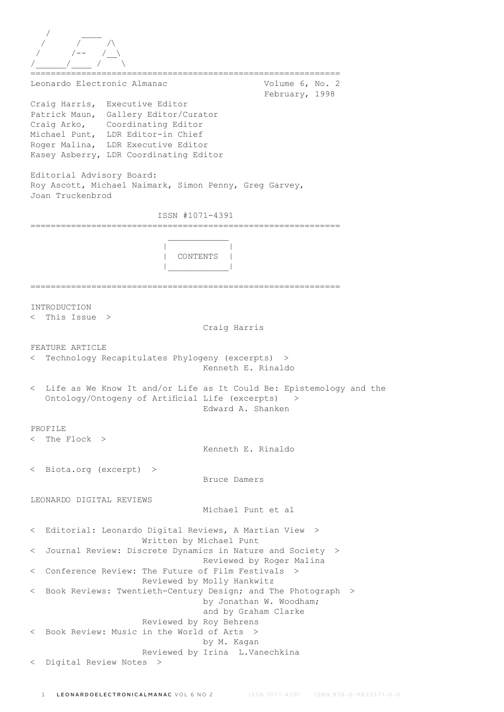/ \_\_\_\_ / / /\ / /-- /\_\_\ /\_\_\_\_\_\_/\_\_\_\_ / \ ============================================================= Leonardo Electronic Almanac Volume 6, No. 2 February, 1998 Craig Harris, Executive Editor Patrick Maun, Gallery Editor/Curator Craig Arko, Coordinating Editor Michael Punt, LDR Editor-in Chief Roger Malina, LDR Executive Editor Kasey Asberry, LDR Coordinating Editor Editorial Advisory Board: Roy Ascott, Michael Naimark, Simon Penny, Greg Garvey, Joan Truckenbrod ISSN #1071-4391 =============================================================  $\mathcal{L}_\text{max}$  and  $\mathcal{L}_\text{max}$  and  $\mathcal{L}_\text{max}$  and  $\mathcal{L}_\text{max}$  | | | CONTENTS | |\_\_\_\_\_\_\_\_\_\_\_\_| ============================================================= INTRODUCTION < This Issue > Craig Harris FEATURE ARTICLE < Technology Recapitulates Phylogeny (excerpts) > Kenneth E. Rinaldo < Life as We Know It and/or Life as It Could Be: Epistemology and the Ontology/Ontogeny of Artificial Life (excerpts) > Edward A. Shanken PROFILE < The Flock > Kenneth E. Rinaldo < Biota.org (excerpt) > Bruce Damers LEONARDO DIGITAL REVIEWS Michael Punt et al < Editorial: Leonardo Digital Reviews, A Martian View > Written by Michael Punt < Journal Review: Discrete Dynamics in Nature and Society > Reviewed by Roger Malina < Conference Review: The Future of Film Festivals > Reviewed by Molly Hankwitz Book Reviews: Twentieth-Century Design; and The Photograph > by Jonathan W. Woodham; and by Graham Clarke Reviewed by Roy Behrens < Book Review: Music in the World of Arts > by M. Kagan Reviewed by Irina L.Vanechkina < Digital Review Notes >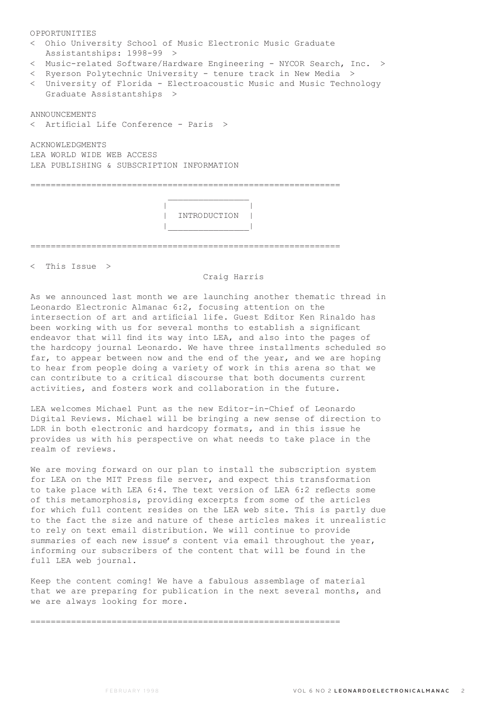| OPPORTUNITIES                                                                                     |  |  |  |  |  |
|---------------------------------------------------------------------------------------------------|--|--|--|--|--|
| < Ohio University School of Music Electronic Music Graduate<br>Assistantships: 1998-99 >          |  |  |  |  |  |
| < Music-related Software/Hardware Engineering - NYCOR Search, Inc. >                              |  |  |  |  |  |
| < Ryerson Polytechnic University - tenure track in New Media >                                    |  |  |  |  |  |
| < University of Florida - Electroacoustic Music and Music Technology<br>Graduate Assistantships > |  |  |  |  |  |
| ANNOUNCEMENTS                                                                                     |  |  |  |  |  |
| < Artificial Life Conference - Paris >                                                            |  |  |  |  |  |
| ACKNOWLEDGMENTS                                                                                   |  |  |  |  |  |
| LEA WORLD WIDE WEB ACCESS                                                                         |  |  |  |  |  |
| LEA PUBLISHING & SUBSCRIPTION INFORMATION                                                         |  |  |  |  |  |
|                                                                                                   |  |  |  |  |  |
|                                                                                                   |  |  |  |  |  |
|                                                                                                   |  |  |  |  |  |
|                                                                                                   |  |  |  |  |  |
| INTRODUCTION                                                                                      |  |  |  |  |  |
|                                                                                                   |  |  |  |  |  |
|                                                                                                   |  |  |  |  |  |
|                                                                                                   |  |  |  |  |  |

< This Issue >

# Craig Harris

As we announced last month we are launching another thematic thread in Leonardo Electronic Almanac 6:2, focusing attention on the intersection of art and artificial life. Guest Editor Ken Rinaldo has been working with us for several months to establish a significant endeavor that will find its way into LEA, and also into the pages of the hardcopy journal Leonardo. We have three installments scheduled so far, to appear between now and the end of the year, and we are hoping to hear from people doing a variety of work in this arena so that we can contribute to a critical discourse that both documents current activities, and fosters work and collaboration in the future.

LEA welcomes Michael Punt as the new Editor-in-Chief of Leonardo Digital Reviews. Michael will be bringing a new sense of direction to LDR in both electronic and hardcopy formats, and in this issue he provides us with his perspective on what needs to take place in the realm of reviews.

We are moving forward on our plan to install the subscription system for LEA on the MIT Press file server, and expect this transformation to take place with LEA 6:4. The text version of LEA 6:2 reflects some of this metamorphosis, providing excerpts from some of the articles for which full content resides on the LEA web site. This is partly due to the fact the size and nature of these articles makes it unrealistic to rely on text email distribution. We will continue to provide summaries of each new issue's content via email throughout the year, informing our subscribers of the content that will be found in the full LEA web journal.

Keep the content coming! We have a fabulous assemblage of material that we are preparing for publication in the next several months, and we are always looking for more.

=============================================================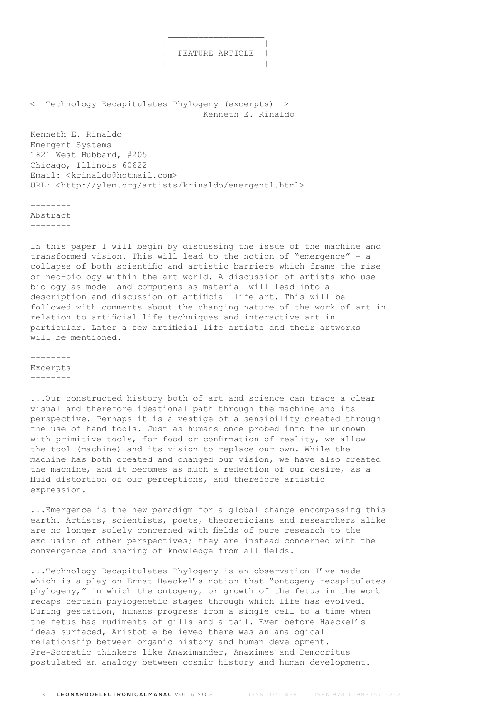

Technology Recapitulates Phylogeny (excerpts) > Kenneth E. Rinaldo

=============================================================

 $\mathcal{L}_\text{max}$  and  $\mathcal{L}_\text{max}$  are the set of  $\mathcal{L}_\text{max}$  . The set of  $\mathcal{L}_\text{max}$ 

|\_\_\_\_\_\_\_\_\_\_\_\_\_\_\_\_\_\_\_|

Kenneth E. Rinaldo Emergent Systems 1821 West Hubbard, #205 Chicago, Illinois 60622 Email: <krinaldo@hotmail.com> URL: <http://ylem.org/artists/krinaldo/emergent1.html>

--------

Abstract

--------

In this paper I will begin by discussing the issue of the machine and transformed vision. This will lead to the notion of "emergence" - a collapse of both scientific and artistic barriers which frame the rise of neo-biology within the art world. A discussion of artists who use biology as model and computers as material will lead into a description and discussion of artificial life art. This will be followed with comments about the changing nature of the work of art in relation to artificial life techniques and interactive art in particular. Later a few artificial life artists and their artworks will be mentioned.

-------- Excerpts --------

...Our constructed history both of art and science can trace a clear visual and therefore ideational path through the machine and its perspective. Perhaps it is a vestige of a sensibility created through the use of hand tools. Just as humans once probed into the unknown with primitive tools, for food or confirmation of reality, we allow the tool (machine) and its vision to replace our own. While the machine has both created and changed our vision, we have also created the machine, and it becomes as much a reflection of our desire, as a fluid distortion of our perceptions, and therefore artistic expression.

...Emergence is the new paradigm for a global change encompassing this earth. Artists, scientists, poets, theoreticians and researchers alike are no longer solely concerned with fields of pure research to the exclusion of other perspectives; they are instead concerned with the convergence and sharing of knowledge from all fields.

...Technology Recapitulates Phylogeny is an observation I've made which is a play on Ernst Haeckel's notion that "ontogeny recapitulates phylogeny," in which the ontogeny, or growth of the fetus in the womb recaps certain phylogenetic stages through which life has evolved. During gestation, humans progress from a single cell to a time when the fetus has rudiments of gills and a tail. Even before Haeckel's ideas surfaced, Aristotle believed there was an analogical relationship between organic history and human development. Pre-Socratic thinkers like Anaximander, Anaximes and Democritus postulated an analogy between cosmic history and human development.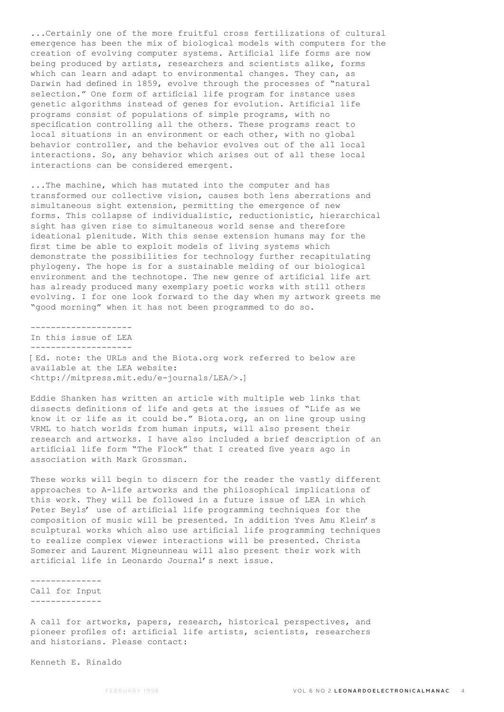...Certainly one of the more fruitful cross fertilizations of cultural emergence has been the mix of biological models with computers for the creation of evolving computer systems. Artificial life forms are now being produced by artists, researchers and scientists alike, forms which can learn and adapt to environmental changes. They can, as Darwin had defined in 1859, evolve through the processes of "natural selection." One form of artificial life program for instance uses genetic algorithms instead of genes for evolution. Artificial life programs consist of populations of simple programs, with no specification controlling all the others. These programs react to local situations in an environment or each other, with no global behavior controller, and the behavior evolves out of the all local interactions. So, any behavior which arises out of all these local interactions can be considered emergent.

...The machine, which has mutated into the computer and has transformed our collective vision, causes both lens aberrations and simultaneous sight extension, permitting the emergence of new forms. This collapse of individualistic, reductionistic, hierarchical sight has given rise to simultaneous world sense and therefore ideational plenitude. With this sense extension humans may for the first time be able to exploit models of living systems which demonstrate the possibilities for technology further recapitulating phylogeny. The hope is for a sustainable melding of our biological environment and the technotope. The new genre of artificial life art has already produced many exemplary poetic works with still others evolving. I for one look forward to the day when my artwork greets me "good morning" when it has not been programmed to do so.

In this issue of LEA -------------------- [Ed. note: the URLs and the Biota.org work referred to below are available at the LEA website: <http://mitpress.mit.edu/e-journals/LEA/>.]

Eddie Shanken has written an article with multiple web links that dissects definitions of life and gets at the issues of "Life as we know it or life as it could be." Biota.org, an on line group using VRML to hatch worlds from human inputs, will also present their research and artworks. I have also included a brief description of an artificial life form "The Flock" that I created five years ago in association with Mark Grossman.

These works will begin to discern for the reader the vastly different approaches to A-life artworks and the philosophical implications of this work. They will be followed in a future issue of LEA in which Peter Beyls' use of artificial life programming techniques for the composition of music will be presented. In addition Yves Amu Klein's sculptural works which also use artificial life programming techniques to realize complex viewer interactions will be presented. Christa Somerer and Laurent Migneunneau will also present their work with artificial life in Leonardo Journal's next issue.

-------------- Call for Input --------------

--------------------

A call for artworks, papers, research, historical perspectives, and pioneer profiles of: artificial life artists, scientists, researchers and historians. Please contact:

Kenneth E. Rinaldo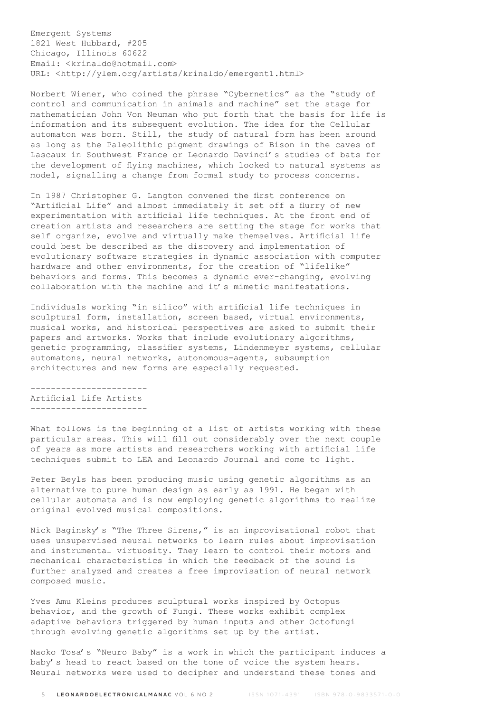Emergent Systems 1821 West Hubbard, #205 Chicago, Illinois 60622 Email: <krinaldo@hotmail.com> URL: <http://ylem.org/artists/krinaldo/emergent1.html>

Norbert Wiener, who coined the phrase "Cybernetics" as the "study of control and communication in animals and machine" set the stage for mathematician John Von Neuman who put forth that the basis for life is information and its subsequent evolution. The idea for the Cellular automaton was born. Still, the study of natural form has been around as long as the Paleolithic pigment drawings of Bison in the caves of Lascaux in Southwest France or Leonardo Davinci's studies of bats for the development of flying machines, which looked to natural systems as model, signalling a change from formal study to process concerns.

In 1987 Christopher G. Langton convened the first conference on "Artificial Life" and almost immediately it set off a flurry of new experimentation with artificial life techniques. At the front end of creation artists and researchers are setting the stage for works that self organize, evolve and virtually make themselves. Artificial life could best be described as the discovery and implementation of evolutionary software strategies in dynamic association with computer hardware and other environments, for the creation of "lifelike" behaviors and forms. This becomes a dynamic ever-changing, evolving collaboration with the machine and it's mimetic manifestations.

Individuals working "in silico" with artificial life techniques in sculptural form, installation, screen based, virtual environments, musical works, and historical perspectives are asked to submit their papers and artworks. Works that include evolutionary algorithms, genetic programming, classifier systems, Lindenmeyer systems, cellular automatons, neural networks, autonomous-agents, subsumption architectures and new forms are especially requested.

----------------------- Artificial Life Artists -----------------------

What follows is the beginning of a list of artists working with these particular areas. This will fill out considerably over the next couple of years as more artists and researchers working with artificial life techniques submit to LEA and Leonardo Journal and come to light.

Peter Beyls has been producing music using genetic algorithms as an alternative to pure human design as early as 1991. He began with cellular automata and is now employing genetic algorithms to realize original evolved musical compositions.

Nick Baginsky's "The Three Sirens," is an improvisational robot that uses unsupervised neural networks to learn rules about improvisation and instrumental virtuosity. They learn to control their motors and mechanical characteristics in which the feedback of the sound is further analyzed and creates a free improvisation of neural network composed music.

Yves Amu Kleins produces sculptural works inspired by Octopus behavior, and the growth of Fungi. These works exhibit complex adaptive behaviors triggered by human inputs and other Octofungi through evolving genetic algorithms set up by the artist.

Naoko Tosa's "Neuro Baby" is a work in which the participant induces a baby's head to react based on the tone of voice the system hears. Neural networks were used to decipher and understand these tones and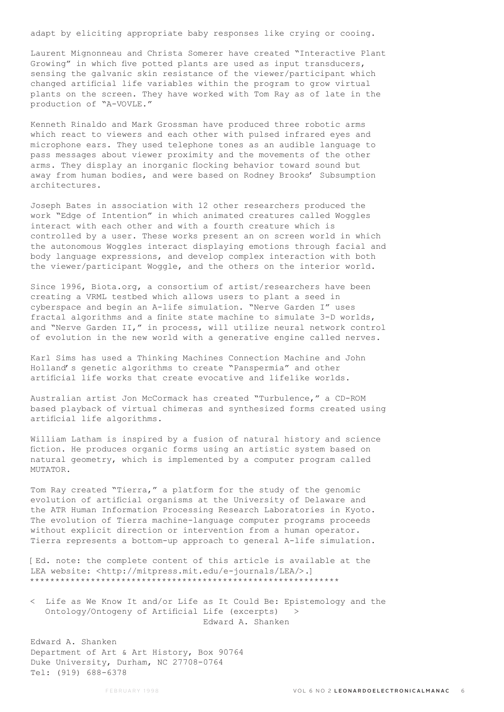adapt by eliciting appropriate baby responses like crying or cooing.

Laurent Mignonneau and Christa Somerer have created "Interactive Plant Growing" in which five potted plants are used as input transducers, sensing the galvanic skin resistance of the viewer/participant which changed artificial life variables within the program to grow virtual plants on the screen. They have worked with Tom Ray as of late in the production of "A-VOVLE."

Kenneth Rinaldo and Mark Grossman have produced three robotic arms which react to viewers and each other with pulsed infrared eyes and microphone ears. They used telephone tones as an audible language to pass messages about viewer proximity and the movements of the other arms. They display an inorganic flocking behavior toward sound but away from human bodies, and were based on Rodney Brooks' Subsumption architectures.

Joseph Bates in association with 12 other researchers produced the work "Edge of Intention" in which animated creatures called Woggles interact with each other and with a fourth creature which is controlled by a user. These works present an on screen world in which the autonomous Woggles interact displaying emotions through facial and body language expressions, and develop complex interaction with both the viewer/participant Woggle, and the others on the interior world.

Since 1996, Biota.org, a consortium of artist/researchers have been creating a VRML testbed which allows users to plant a seed in cyberspace and begin an A-life simulation. "Nerve Garden I" uses fractal algorithms and a finite state machine to simulate 3-D worlds, and "Nerve Garden II," in process, will utilize neural network control of evolution in the new world with a generative engine called nerves.

Karl Sims has used a Thinking Machines Connection Machine and John Holland's genetic algorithms to create "Panspermia" and other artificial life works that create evocative and lifelike worlds.

Australian artist Jon McCormack has created "Turbulence," a CD-ROM based playback of virtual chimeras and synthesized forms created using artificial life algorithms.

William Latham is inspired by a fusion of natural history and science fiction. He produces organic forms using an artistic system based on natural geometry, which is implemented by a computer program called MUTATOR.

Tom Ray created "Tierra," a platform for the study of the genomic evolution of artificial organisms at the University of Delaware and the ATR Human Information Processing Research Laboratories in Kyoto. The evolution of Tierra machine-language computer programs proceeds without explicit direction or intervention from a human operator. Tierra represents a bottom-up approach to general A-life simulation.

[Ed. note: the complete content of this article is available at the LEA website: <http://mitpress.mit.edu/e-journals/LEA/>.] \*\*\*\*\*\*\*\*\*\*\*\*\*\*\*\*\*\*\*\*\*\*\*\*\*\*\*\*\*\*\*\*\*\*\*\*\*\*\*\*\*\*\*\*\*\*\*\*\*\*\*\*\*\*\*\*\*\*\*\*\*

< Life as We Know It and/or Life as It Could Be: Epistemology and the Ontology/Ontogeny of Artificial Life (excerpts) > Edward A. Shanken

Edward A. Shanken Department of Art & Art History, Box 90764 Duke University, Durham, NC 27708-0764 Tel: (919) 688-6378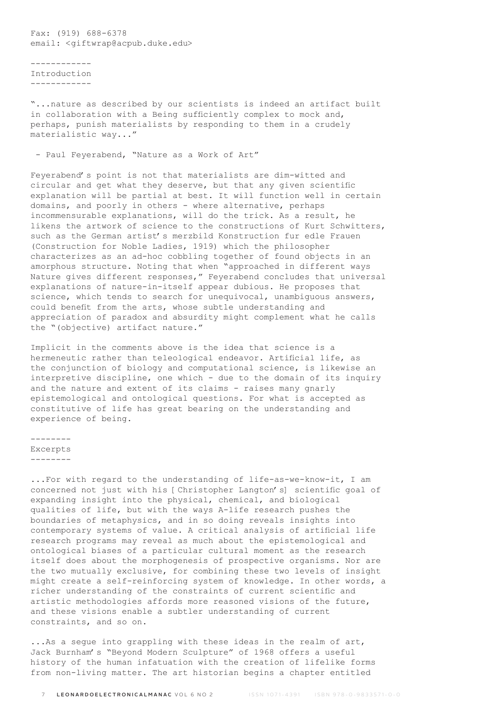Fax: (919) 688-6378 email: < qiftwrap@acpub.duke.edu>

------------ Introduction ------------

"...nature as described by our scientists is indeed an artifact built in collaboration with a Being sufficiently complex to mock and, perhaps, punish materialists by responding to them in a crudely materialistic way..."

- Paul Feyerabend, "Nature as a Work of Art"

Feyerabend's point is not that materialists are dim-witted and circular and get what they deserve, but that any given scientific explanation will be partial at best. It will function well in certain domains, and poorly in others - where alternative, perhaps incommensurable explanations, will do the trick. As a result, he likens the artwork of science to the constructions of Kurt Schwitters, such as the German artist's merzbild Konstruction fur edle Frauen (Construction for Noble Ladies, 1919) which the philosopher characterizes as an ad-hoc cobbling together of found objects in an amorphous structure. Noting that when "approached in different ways Nature gives different responses," Feyerabend concludes that universal explanations of nature-in-itself appear dubious. He proposes that science, which tends to search for unequivocal, unambiguous answers, could benefit from the arts, whose subtle understanding and appreciation of paradox and absurdity might complement what he calls the "(objective) artifact nature."

Implicit in the comments above is the idea that science is a hermeneutic rather than teleological endeavor. Artificial life, as the conjunction of biology and computational science, is likewise an interpretive discipline, one which - due to the domain of its inquiry and the nature and extent of its claims - raises many gnarly epistemological and ontological questions. For what is accepted as constitutive of life has great bearing on the understanding and experience of being.

-------- Excerpts --------

...For with regard to the understanding of life-as-we-know-it, I am concerned not just with his [Christopher Langton's] scientific goal of expanding insight into the physical, chemical, and biological qualities of life, but with the ways A-life research pushes the boundaries of metaphysics, and in so doing reveals insights into contemporary systems of value. A critical analysis of artificial life research programs may reveal as much about the epistemological and ontological biases of a particular cultural moment as the research itself does about the morphogenesis of prospective organisms. Nor are the two mutually exclusive, for combining these two levels of insight might create a self-reinforcing system of knowledge. In other words, a richer understanding of the constraints of current scientific and artistic methodologies affords more reasoned visions of the future, and these visions enable a subtler understanding of current constraints, and so on.

...As a segue into grappling with these ideas in the realm of art, Jack Burnham's "Beyond Modern Sculpture" of 1968 offers a useful history of the human infatuation with the creation of lifelike forms from non-living matter. The art historian begins a chapter entitled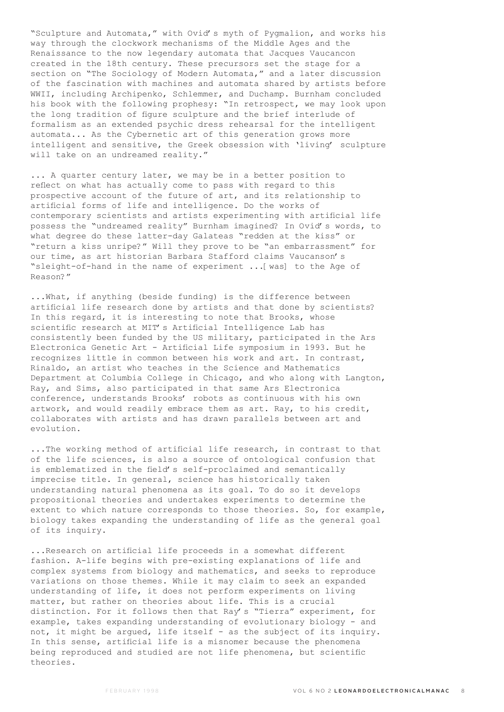"Sculpture and Automata," with Ovid's myth of Pygmalion, and works his way through the clockwork mechanisms of the Middle Ages and the Renaissance to the now legendary automata that Jacques Vaucancon created in the 18th century. These precursors set the stage for a section on "The Sociology of Modern Automata," and a later discussion of the fascination with machines and automata shared by artists before WWII, including Archipenko, Schlemmer, and Duchamp. Burnham concluded his book with the following prophesy: "In retrospect, we may look upon the long tradition of figure sculpture and the brief interlude of formalism as an extended psychic dress rehearsal for the intelligent automata... As the Cybernetic art of this generation grows more intelligent and sensitive, the Greek obsession with 'living' sculpture will take on an undreamed reality."

... A quarter century later, we may be in a better position to reflect on what has actually come to pass with regard to this prospective account of the future of art, and its relationship to artificial forms of life and intelligence. Do the works of contemporary scientists and artists experimenting with artificial life possess the "undreamed reality" Burnham imagined? In Ovid's words, to what degree do these latter-day Galateas "redden at the kiss" or "return a kiss unripe?" Will they prove to be "an embarrassment" for our time, as art historian Barbara Stafford claims Vaucanson's "sleight-of-hand in the name of experiment ...[was] to the Age of Reason?"

...What, if anything (beside funding) is the difference between artificial life research done by artists and that done by scientists? In this regard, it is interesting to note that Brooks, whose scientific research at MIT's Artificial Intelligence Lab has consistently been funded by the US military, participated in the Ars Electronica Genetic Art - Artificial Life symposium in 1993. But he recognizes little in common between his work and art. In contrast, Rinaldo, an artist who teaches in the Science and Mathematics Department at Columbia College in Chicago, and who along with Langton, Ray, and Sims, also participated in that same Ars Electronica conference, understands Brooks' robots as continuous with his own artwork, and would readily embrace them as art. Ray, to his credit, collaborates with artists and has drawn parallels between art and evolution.

...The working method of artificial life research, in contrast to that of the life sciences, is also a source of ontological confusion that is emblematized in the field's self-proclaimed and semantically imprecise title. In general, science has historically taken understanding natural phenomena as its goal. To do so it develops propositional theories and undertakes experiments to determine the extent to which nature corresponds to those theories. So, for example, biology takes expanding the understanding of life as the general goal of its inquiry.

...Research on artificial life proceeds in a somewhat different fashion. A-life begins with pre-existing explanations of life and complex systems from biology and mathematics, and seeks to reproduce variations on those themes. While it may claim to seek an expanded understanding of life, it does not perform experiments on living matter, but rather on theories about life. This is a crucial distinction. For it follows then that Ray's "Tierra" experiment, for example, takes expanding understanding of evolutionary biology - and not, it might be argued, life itself - as the subject of its inquiry. In this sense, artificial life is a misnomer because the phenomena being reproduced and studied are not life phenomena, but scientific theories.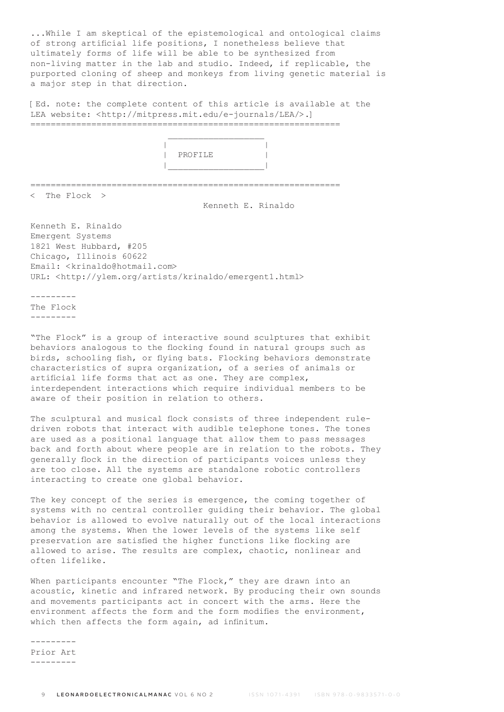...While I am skeptical of the epistemological and ontological claims of strong artificial life positions, I nonetheless believe that ultimately forms of life will be able to be synthesized from non-living matter in the lab and studio. Indeed, if replicable, the purported cloning of sheep and monkeys from living genetic material is a major step in that direction.

[Ed. note: the complete content of this article is available at the LEA website: <http://mitpress.mit.edu/e-journals/LEA/>.] =============================================================

|  | _________________ |  |
|--|-------------------|--|
|  |                   |  |
|  | PROFILE           |  |
|  |                   |  |

=============================================================

< The Flock >

Kenneth E. Rinaldo

Kenneth E. Rinaldo Emergent Systems 1821 West Hubbard, #205 Chicago, Illinois 60622 Email: <krinaldo@hotmail.com> URL: <http://ylem.org/artists/krinaldo/emergent1.html>

--------- The Flock ---------

"The Flock" is a group of interactive sound sculptures that exhibit behaviors analogous to the flocking found in natural groups such as birds, schooling fish, or flying bats. Flocking behaviors demonstrate characteristics of supra organization, of a series of animals or artificial life forms that act as one. They are complex, interdependent interactions which require individual members to be aware of their position in relation to others.

The sculptural and musical flock consists of three independent ruledriven robots that interact with audible telephone tones. The tones are used as a positional language that allow them to pass messages back and forth about where people are in relation to the robots. They generally flock in the direction of participants voices unless they are too close. All the systems are standalone robotic controllers interacting to create one global behavior.

The key concept of the series is emergence, the coming together of systems with no central controller guiding their behavior. The global behavior is allowed to evolve naturally out of the local interactions among the systems. When the lower levels of the systems like self preservation are satisfied the higher functions like flocking are allowed to arise. The results are complex, chaotic, nonlinear and often lifelike.

When participants encounter "The Flock," they are drawn into an acoustic, kinetic and infrared network. By producing their own sounds and movements participants act in concert with the arms. Here the environment affects the form and the form modifies the environment, which then affects the form again, ad infinitum.

--------- Prior Art ---------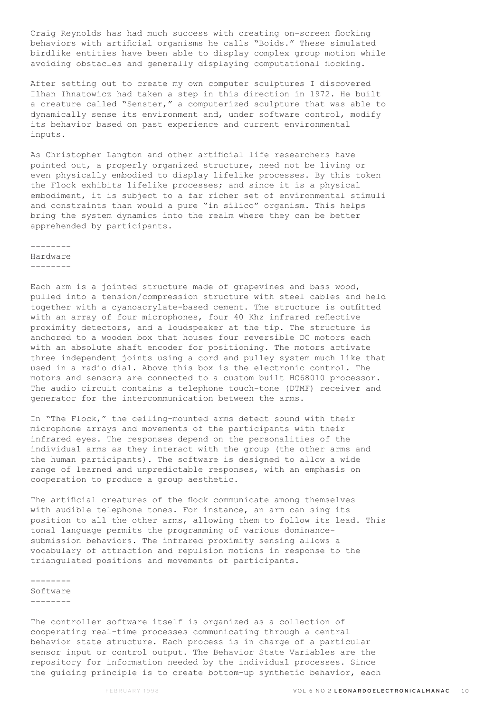Craig Reynolds has had much success with creating on-screen flocking behaviors with artificial organisms he calls "Boids." These simulated birdlike entities have been able to display complex group motion while avoiding obstacles and generally displaying computational flocking.

After setting out to create my own computer sculptures I discovered Ilhan Ihnatowicz had taken a step in this direction in 1972. He built a creature called "Senster," a computerized sculpture that was able to dynamically sense its environment and, under software control, modify its behavior based on past experience and current environmental inputs.

As Christopher Langton and other artificial life researchers have pointed out, a properly organized structure, need not be living or even physically embodied to display lifelike processes. By this token the Flock exhibits lifelike processes; and since it is a physical embodiment, it is subject to a far richer set of environmental stimuli and constraints than would a pure "in silico" organism. This helps bring the system dynamics into the realm where they can be better apprehended by participants.

-------- Hardware --------

Each arm is a jointed structure made of grapevines and bass wood, pulled into a tension/compression structure with steel cables and held together with a cyanoacrylate-based cement. The structure is outfitted with an array of four microphones, four 40 Khz infrared reflective proximity detectors, and a loudspeaker at the tip. The structure is anchored to a wooden box that houses four reversible DC motors each with an absolute shaft encoder for positioning. The motors activate three independent joints using a cord and pulley system much like that used in a radio dial. Above this box is the electronic control. The motors and sensors are connected to a custom built HC68010 processor. The audio circuit contains a telephone touch-tone (DTMF) receiver and generator for the intercommunication between the arms.

In "The Flock," the ceiling-mounted arms detect sound with their microphone arrays and movements of the participants with their infrared eyes. The responses depend on the personalities of the individual arms as they interact with the group (the other arms and the human participants). The software is designed to allow a wide range of learned and unpredictable responses, with an emphasis on cooperation to produce a group aesthetic.

The artificial creatures of the flock communicate among themselves with audible telephone tones. For instance, an arm can sing its position to all the other arms, allowing them to follow its lead. This tonal language permits the programming of various dominancesubmission behaviors. The infrared proximity sensing allows a vocabulary of attraction and repulsion motions in response to the triangulated positions and movements of participants.

--------

Software --------

The controller software itself is organized as a collection of cooperating real-time processes communicating through a central behavior state structure. Each process is in charge of a particular sensor input or control output. The Behavior State Variables are the repository for information needed by the individual processes. Since the guiding principle is to create bottom-up synthetic behavior, each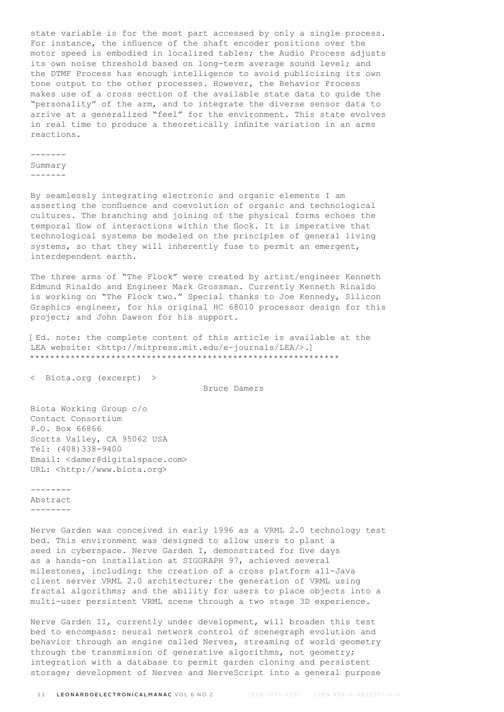state variable is for the most part accessed by only a single process. For instance, the influence of the shaft encoder positions over the motor speed is embodied in localized tables; the Audio Process adjusts its own noise threshold based on long-term average sound level; and the DTMF Process has enough intelligence to avoid publicizing its own tone output to the other processes. However, the Behavior Process makes use of a cross section of the available state data to guide the "personality" of the arm, and to integrate the diverse sensor data to arrive at a generalized "feel" for the environment. This state evolves in real time to produce a theoretically infinite variation in an arms reactions.

## ------- Summary -------

By seamlessly integrating electronic and organic elements I am asserting the confluence and coevolution of organic and technological cultures. The branching and joining of the physical forms echoes the temporal flow of interactions within the flock. It is imperative that technological systems be modeled on the principles of general living systems, so that they will inherently fuse to permit an emergent, interdependent earth.

The three arms of "The Flock" were created by artist/engineer Kenneth Edmund Rinaldo and Engineer Mark Grossman. Currently Kenneth Rinaldo is working on "The Flock two." Special thanks to Joe Kennedy, Silicon Graphics engineer, for his original HC 68010 processor design for this project; and John Dawson for his support.

[Ed. note: the complete content of this article is available at the LEA website: <http://mitpress.mit.edu/e-journals/LEA/>.] \*\*\*\*\*\*\*\*\*\*\*\*\*\*\*\*\*\*\*\*\*\*\*\*\*\*\*\*\*\*\*\*\*\*\*\*\*\*\*\*\*\*\*\*\*\*\*\*\*\*\*\*\*\*\*\*\*\*\*\*\*

< Biota.org (excerpt) >

Bruce Damers

Biota Working Group c/o Contact Consortium P.O. Box 66866 Scotts Valley, CA 95062 USA Tel: (408)338-9400 Email: <damer@digitalspace.com> URL: <http://www.biota.org>

-------- Abstract --------

Nerve Garden was conceived in early 1996 as a VRML 2.0 technology test bed. This environment was designed to allow users to plant a seed in cyberspace. Nerve Garden I, demonstrated for five days as a hands-on installation at SIGGRAPH 97, achieved several milestones, including: the creation of a cross platform all-Java client server VRML 2.0 architecture; the generation of VRML using fractal algorithms; and the ability for users to place objects into a multi-user persistent VRML scene through a two stage 3D experience.

Nerve Garden II, currently under development, will broaden this test bed to encompass: neural network control of scenegraph evolution and behavior through an engine called Nerves, streaming of world geometry through the transmission of generative algorithms, not geometry; integration with a database to permit garden cloning and persistent storage; development of Nerves and NerveScript into a general purpose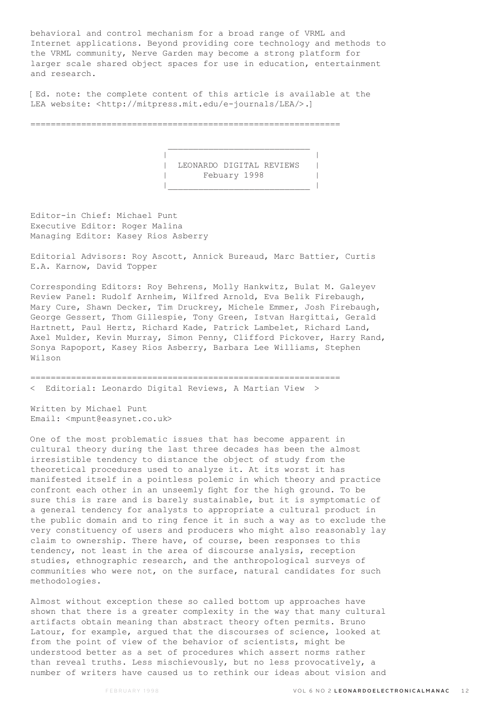behavioral and control mechanism for a broad range of VRML and Internet applications. Beyond providing core technology and methods to the VRML community, Nerve Garden may become a strong platform for larger scale shared object spaces for use in education, entertainment and research.

[Ed. note: the complete content of this article is available at the LEA website: <http://mitpress.mit.edu/e-journals/LEA/>.]

=============================================================

 $\mathcal{L}_\text{max}$  and the contract of the contract of the contract of the contract of the contract of the contract of the contract of the contract of the contract of the contract of the contract of the contract of the contrac

 | | | LEONARDO DIGITAL REVIEWS | .<br>| Febuary 1998 |\_\_\_\_\_\_\_\_\_\_\_\_\_\_\_\_\_\_\_\_\_\_\_\_\_\_\_\_ |

Editor-in Chief: Michael Punt Executive Editor: Roger Malina Managing Editor: Kasey Rios Asberry

Editorial Advisors: Roy Ascott, Annick Bureaud, Marc Battier, Curtis E.A. Karnow, David Topper

Corresponding Editors: Roy Behrens, Molly Hankwitz, Bulat M. Galeyev Review Panel: Rudolf Arnheim, Wilfred Arnold, Eva Belik Firebaugh, Mary Cure, Shawn Decker, Tim Druckrey, Michele Emmer, Josh Firebaugh, George Gessert, Thom Gillespie, Tony Green, Istvan Hargittai, Gerald Hartnett, Paul Hertz, Richard Kade, Patrick Lambelet, Richard Land, Axel Mulder, Kevin Murray, Simon Penny, Clifford Pickover, Harry Rand, Sonya Rapoport, Kasey Rios Asberry, Barbara Lee Williams, Stephen Wilson

============================================================= < Editorial: Leonardo Digital Reviews, A Martian View >

Written by Michael Punt Email: <mpunt@easynet.co.uk>

One of the most problematic issues that has become apparent in cultural theory during the last three decades has been the almost irresistible tendency to distance the object of study from the theoretical procedures used to analyze it. At its worst it has manifested itself in a pointless polemic in which theory and practice confront each other in an unseemly fight for the high ground. To be sure this is rare and is barely sustainable, but it is symptomatic of a general tendency for analysts to appropriate a cultural product in the public domain and to ring fence it in such a way as to exclude the very constituency of users and producers who might also reasonably lay claim to ownership. There have, of course, been responses to this tendency, not least in the area of discourse analysis, reception studies, ethnographic research, and the anthropological surveys of communities who were not, on the surface, natural candidates for such methodologies.

Almost without exception these so called bottom up approaches have shown that there is a greater complexity in the way that many cultural artifacts obtain meaning than abstract theory often permits. Bruno Latour, for example, argued that the discourses of science, looked at from the point of view of the behavior of scientists, might be understood better as a set of procedures which assert norms rather than reveal truths. Less mischievously, but no less provocatively, a number of writers have caused us to rethink our ideas about vision and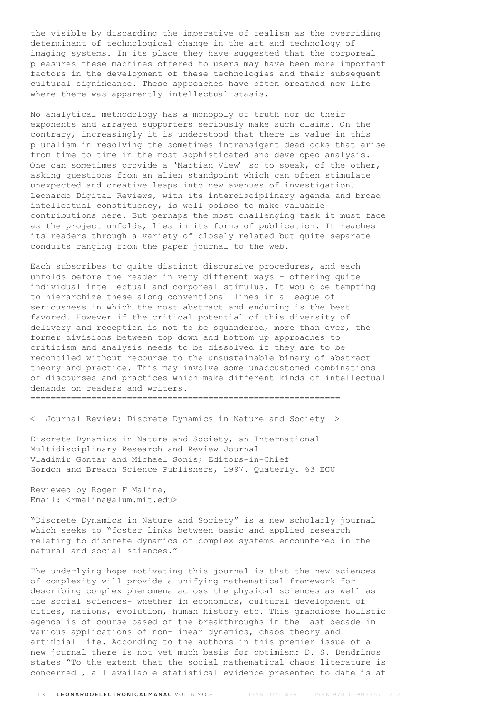the visible by discarding the imperative of realism as the overriding determinant of technological change in the art and technology of imaging systems. In its place they have suggested that the corporeal pleasures these machines offered to users may have been more important factors in the development of these technologies and their subsequent cultural significance. These approaches have often breathed new life where there was apparently intellectual stasis.

No analytical methodology has a monopoly of truth nor do their exponents and arrayed supporters seriously make such claims. On the contrary, increasingly it is understood that there is value in this pluralism in resolving the sometimes intransigent deadlocks that arise from time to time in the most sophisticated and developed analysis. One can sometimes provide a 'Martian View' so to speak, of the other, asking questions from an alien standpoint which can often stimulate unexpected and creative leaps into new avenues of investigation. Leonardo Digital Reviews, with its interdisciplinary agenda and broad intellectual constituency, is well poised to make valuable contributions here. But perhaps the most challenging task it must face as the project unfolds, lies in its forms of publication. It reaches its readers through a variety of closely related but quite separate conduits ranging from the paper journal to the web.

Each subscribes to quite distinct discursive procedures, and each unfolds before the reader in very different ways - offering quite individual intellectual and corporeal stimulus. It would be tempting to hierarchize these along conventional lines in a league of seriousness in which the most abstract and enduring is the best favored. However if the critical potential of this diversity of delivery and reception is not to be squandered, more than ever, the former divisions between top down and bottom up approaches to criticism and analysis needs to be dissolved if they are to be reconciled without recourse to the unsustainable binary of abstract theory and practice. This may involve some unaccustomed combinations of discourses and practices which make different kinds of intellectual demands on readers and writers.

=============================================================

< Journal Review: Discrete Dynamics in Nature and Society >

Discrete Dynamics in Nature and Society, an International Multidisciplinary Research and Review Journal Vladimir Gontar and Michael Sonis; Editors-in-Chief Gordon and Breach Science Publishers, 1997. Quaterly. 63 ECU

Reviewed by Roger F Malina, Email: <rmalina@alum.mit.edu>

"Discrete Dynamics in Nature and Society" is a new scholarly journal which seeks to "foster links between basic and applied research relating to discrete dynamics of complex systems encountered in the natural and social sciences."

The underlying hope motivating this journal is that the new sciences of complexity will provide a unifying mathematical framework for describing complex phenomena across the physical sciences as well as the social sciences- whether in economics, cultural development of cities, nations, evolution, human history etc. This grandiose holistic agenda is of course based of the breakthroughs in the last decade in various applications of non-linear dynamics, chaos theory and artificial life. According to the authors in this premier issue of a new journal there is not yet much basis for optimism: D. S. Dendrinos states "To the extent that the social mathematical chaos literature is concerned , all available statistical evidence presented to date is at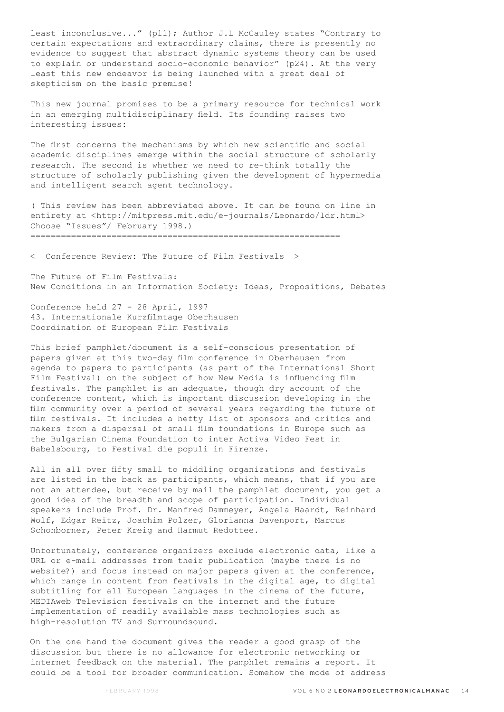least inconclusive..." (p11); Author J.L McCauley states "Contrary to certain expectations and extraordinary claims, there is presently no evidence to suggest that abstract dynamic systems theory can be used to explain or understand socio-economic behavior" (p24). At the very least this new endeavor is being launched with a great deal of skepticism on the basic premise!

This new journal promises to be a primary resource for technical work in an emerging multidisciplinary field. Its founding raises two interesting issues:

The first concerns the mechanisms by which new scientific and social academic disciplines emerge within the social structure of scholarly research. The second is whether we need to re-think totally the structure of scholarly publishing given the development of hypermedia and intelligent search agent technology.

( This review has been abbreviated above. It can be found on line in entirety at <http://mitpress.mit.edu/e-journals/Leonardo/ldr.html> Choose "Issues"/ February 1998.) =============================================================

< Conference Review: The Future of Film Festivals >

The Future of Film Festivals: New Conditions in an Information Society: Ideas, Propositions, Debates

Conference held 27 - 28 April, 1997 43. Internationale Kurzfilmtage Oberhausen Coordination of European Film Festivals

This brief pamphlet/document is a self-conscious presentation of papers given at this two-day film conference in Oberhausen from agenda to papers to participants (as part of the International Short Film Festival) on the subject of how New Media is influencing film festivals. The pamphlet is an adequate, though dry account of the conference content, which is important discussion developing in the film community over a period of several years regarding the future of film festivals. It includes a hefty list of sponsors and critics and makers from a dispersal of small film foundations in Europe such as the Bulgarian Cinema Foundation to inter Activa Video Fest in Babelsbourg, to Festival die populi in Firenze.

All in all over fifty small to middling organizations and festivals are listed in the back as participants, which means, that if you are not an attendee, but receive by mail the pamphlet document, you get a good idea of the breadth and scope of participation. Individual speakers include Prof. Dr. Manfred Dammeyer, Angela Haardt, Reinhard Wolf, Edgar Reitz, Joachim Polzer, Glorianna Davenport, Marcus Schonborner, Peter Kreig and Harmut Redottee.

Unfortunately, conference organizers exclude electronic data, like a URL or e-mail addresses from their publication (maybe there is no website?) and focus instead on major papers given at the conference, which range in content from festivals in the digital age, to digital subtitling for all European languages in the cinema of the future, MEDIAweb Television festivals on the internet and the future implementation of readily available mass technologies such as high-resolution TV and Surroundsound.

On the one hand the document gives the reader a good grasp of the discussion but there is no allowance for electronic networking or internet feedback on the material. The pamphlet remains a report. It could be a tool for broader communication. Somehow the mode of address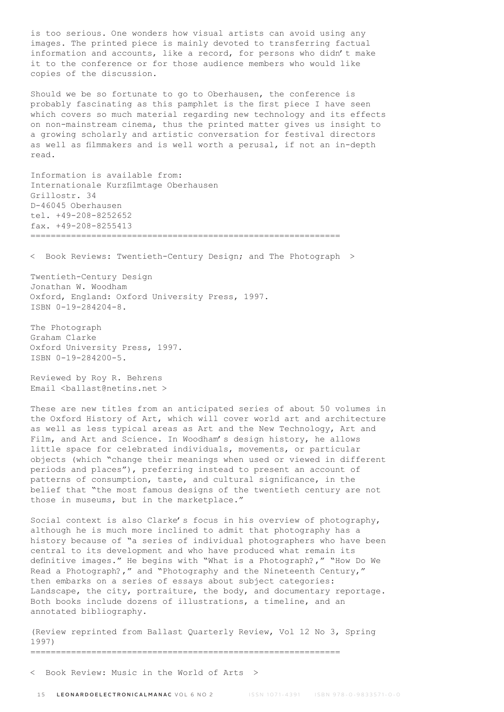is too serious. One wonders how visual artists can avoid using any images. The printed piece is mainly devoted to transferring factual information and accounts, like a record, for persons who didn't make it to the conference or for those audience members who would like copies of the discussion.

Should we be so fortunate to go to Oberhausen, the conference is probably fascinating as this pamphlet is the first piece I have seen which covers so much material regarding new technology and its effects on non-mainstream cinema, thus the printed matter gives us insight to a growing scholarly and artistic conversation for festival directors as well as filmmakers and is well worth a perusal, if not an in-depth read.

Information is available from: Internationale Kurzfilmtage Oberhausen Grillostr. 34 D-46045 Oberhausen tel. +49-208-8252652 fax. +49-208-8255413 =============================================================

< Book Reviews: Twentieth-Century Design; and The Photograph >

Twentieth-Century Design Jonathan W. Woodham Oxford, England: Oxford University Press, 1997. ISBN 0-19-284204-8.

The Photograph Graham Clarke Oxford University Press, 1997. ISBN 0-19-284200-5.

Reviewed by Roy R. Behrens Email <br/> <br/>Aballast@netins.net >

These are new titles from an anticipated series of about 50 volumes in the Oxford History of Art, which will cover world art and architecture as well as less typical areas as Art and the New Technology, Art and Film, and Art and Science. In Woodham's design history, he allows little space for celebrated individuals, movements, or particular objects (which "change their meanings when used or viewed in different periods and places"), preferring instead to present an account of patterns of consumption, taste, and cultural significance, in the belief that "the most famous designs of the twentieth century are not those in museums, but in the marketplace."

Social context is also Clarke's focus in his overview of photography, although he is much more inclined to admit that photography has a history because of "a series of individual photographers who have been central to its development and who have produced what remain its definitive images." He begins with "What is a Photograph?," "How Do We Read a Photograph?," and "Photography and the Nineteenth Century," then embarks on a series of essays about subject categories: Landscape, the city, portraiture, the body, and documentary reportage. Both books include dozens of illustrations, a timeline, and an annotated bibliography.

(Review reprinted from Ballast Quarterly Review, Vol 12 No 3, Spring 1997) =============================================================

< Book Review: Music in the World of Arts >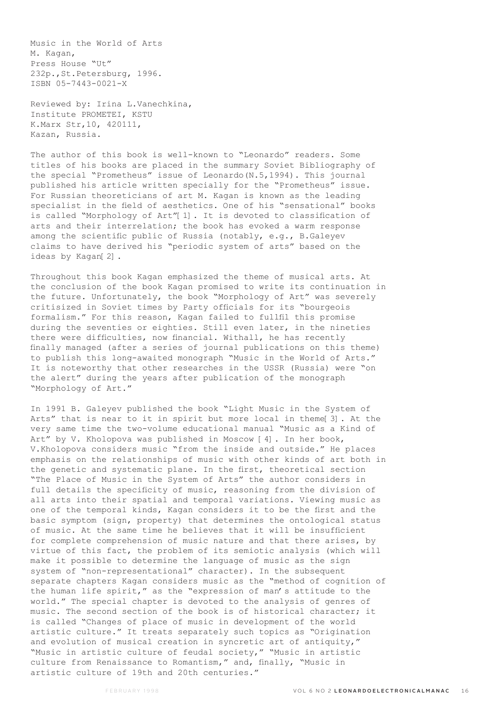Music in the World of Arts M. Kagan, Press House "Ut" 232p.,St.Petersburg, 1996. ISBN 05-7443-0021-X

Reviewed by: Irina L.Vanechkina, Institute PROMETEI, KSTU K.Marx Str,10, 420111, Kazan, Russia.

The author of this book is well-known to "Leonardo" readers. Some titles of his books are placed in the summary Soviet Bibliography of the special "Prometheus" issue of Leonardo(N.5,1994). This journal published his article written specially for the "Prometheus" issue. For Russian theoreticians of art M. Kagan is known as the leading specialist in the field of aesthetics. One of his "sensational" books is called "Morphology of Art"[1]. It is devoted to classification of arts and their interrelation; the book has evoked a warm response among the scientific public of Russia (notably, e.g., B.Galeyev claims to have derived his "periodic system of arts" based on the ideas by Kagan[2].

Throughout this book Kagan emphasized the theme of musical arts. At the conclusion of the book Kagan promised to write its continuation in the future. Unfortunately, the book "Morphology of Art" was severely critisized in Soviet times by Party officials for its "bourgeois formalism." For this reason, Kagan failed to fullfil this promise during the seventies or eighties. Still even later, in the nineties there were difficulties, now financial. Withall, he has recently finally managed (after a series of journal publications on this theme) to publish this long-awaited monograph "Music in the World of Arts." It is noteworthy that other researches in the USSR (Russia) were "on the alert" during the years after publication of the monograph "Morphology of Art."

In 1991 B. Galeyev published the book "Light Music in the System of Arts" that is near to it in spirit but more local in theme[3]. At the very same time the two-volume educational manual "Music as a Kind of Art" by V. Kholopova was published in Moscow [4]. In her book, V.Kholopova considers music "from the inside and outside." He places emphasis on the relationships of music with other kinds of art both in the genetic and systematic plane. In the first, theoretical section "The Place of Music in the System of Arts" the author considers in full details the specificity of music, reasoning from the division of all arts into their spatial and temporal variations. Viewing music as one of the temporal kinds, Kagan considers it to be the first and the basic symptom (sign, property) that determines the ontological status of music. At the same time he believes that it will be insufficient for complete comprehension of music nature and that there arises, by virtue of this fact, the problem of its semiotic analysis (which will make it possible to determine the language of music as the sign system of "non-representational" character). In the subsequent separate chapters Kagan considers music as the "method of cognition of the human life spirit," as the "expression of man's attitude to the world." The special chapter is devoted to the analysis of genres of music. The second section of the book is of historical character; it is called "Changes of place of music in development of the world artistic culture." It treats separately such topics as "Origination and evolution of musical creation in syncretic art of antiquity," "Music in artistic culture of feudal society," "Music in artistic culture from Renaissance to Romantism," and, finally, "Music in artistic culture of 19th and 20th centuries."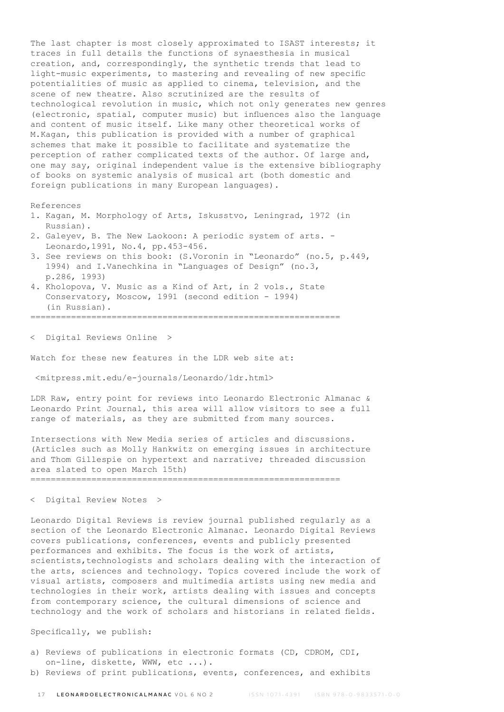The last chapter is most closely approximated to ISAST interests; it traces in full details the functions of synaesthesia in musical creation, and, correspondingly, the synthetic trends that lead to light-music experiments, to mastering and revealing of new specific potentialities of music as applied to cinema, television, and the scene of new theatre. Also scrutinized are the results of technological revolution in music, which not only generates new genres (electronic, spatial, computer music) but influences also the language and content of music itself. Like many other theoretical works of M.Kagan, this publication is provided with a number of graphical schemes that make it possible to facilitate and systematize the perception of rather complicated texts of the author. Of large and, one may say, original independent value is the extensive bibliography of books on systemic analysis of musical art (both domestic and foreign publications in many European languages).

References

- 1. Kagan, M. Morphology of Arts, Iskusstvo, Leningrad, 1972 (in Russian).
- 2. Galeyev, B. The New Laokoon: A periodic system of arts. Leonardo,1991, No.4, pp.453-456.
- 3. See reviews on this book: (S.Voronin in "Leonardo" (no.5, p.449, 1994) and I.Vanechkina in "Languages of Design" (no.3, p.286, 1993)
- 4. Kholopova, V. Music as a Kind of Art, in 2 vols., State Conservatory, Moscow, 1991 (second edition - 1994) (in Russian).

=============================================================

< Digital Reviews Online >

Watch for these new features in the LDR web site at:

<mitpress.mit.edu/e-journals/Leonardo/ldr.html>

LDR Raw, entry point for reviews into Leonardo Electronic Almanac & Leonardo Print Journal, this area will allow visitors to see a full range of materials, as they are submitted from many sources.

Intersections with New Media series of articles and discussions. (Articles such as Molly Hankwitz on emerging issues in architecture and Thom Gillespie on hypertext and narrative; threaded discussion area slated to open March 15th) =============================================================

< Digital Review Notes >

Leonardo Digital Reviews is review journal published regularly as a section of the Leonardo Electronic Almanac. Leonardo Digital Reviews covers publications, conferences, events and publicly presented performances and exhibits. The focus is the work of artists, scientists, technologists and scholars dealing with the interaction of the arts, sciences and technology. Topics covered include the work of visual artists, composers and multimedia artists using new media and technologies in their work, artists dealing with issues and concepts from contemporary science, the cultural dimensions of science and technology and the work of scholars and historians in related fields.

Specifically, we publish:

- a) Reviews of publications in electronic formats (CD, CDROM, CDI, on-line, diskette, WWW, etc ...).
- b) Reviews of print publications, events, conferences, and exhibits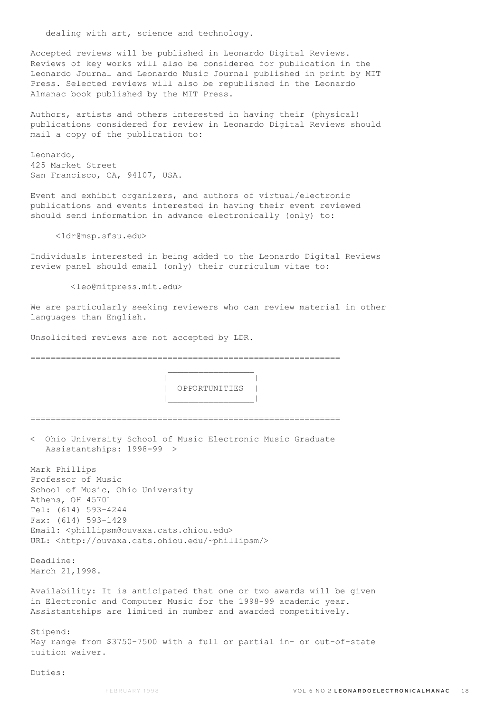dealing with art, science and technology.

Accepted reviews will be published in Leonardo Digital Reviews. Reviews of key works will also be considered for publication in the Leonardo Journal and Leonardo Music Journal published in print by MIT Press. Selected reviews will also be republished in the Leonardo Almanac book published by the MIT Press.

Authors, artists and others interested in having their (physical) publications considered for review in Leonardo Digital Reviews should mail a copy of the publication to:

Leonardo, 425 Market Street San Francisco, CA, 94107, USA.

Event and exhibit organizers, and authors of virtual/electronic publications and events interested in having their event reviewed should send information in advance electronically (only) to:

<ldr@msp.sfsu.edu>

Individuals interested in being added to the Leonardo Digital Reviews review panel should email (only) their curriculum vitae to:

<leo@mitpress.mit.edu>

We are particularly seeking reviewers who can review material in other languages than English.

Unsolicited reviews are not accepted by LDR.

=============================================================  $\mathcal{L}_\text{max}$  and  $\mathcal{L}_\text{max}$  and  $\mathcal{L}_\text{max}$  and  $\mathcal{L}_\text{max}$  | | | OPPORTUNITIES | |\_\_\_\_\_\_\_\_\_\_\_\_\_\_\_\_\_| ============================================================= < Ohio University School of Music Electronic Music Graduate Assistantships: 1998-99 > Mark Phillips Professor of Music School of Music, Ohio University Athens, OH 45701 Tel: (614) 593-4244 Fax: (614) 593-1429 Email: <phillipsm@ouvaxa.cats.ohiou.edu> URL: <http://ouvaxa.cats.ohiou.edu/~phillipsm/> Deadline: March 21,1998. Availability: It is anticipated that one or two awards will be given in Electronic and Computer Music for the 1998-99 academic year. Assistantships are limited in number and awarded competitively. Stipend: May range from \$3750-7500 with a full or partial in- or out-of-state tuition waiver.

Duties: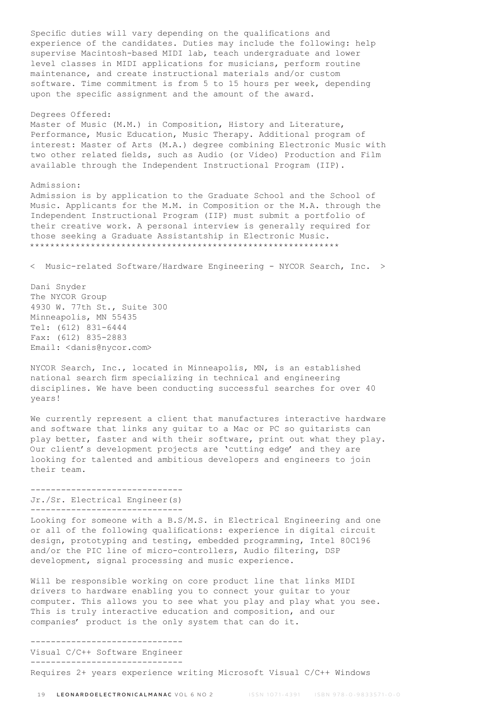Specific duties will vary depending on the qualifications and experience of the candidates. Duties may include the following: help supervise Macintosh-based MIDI lab, teach undergraduate and lower level classes in MIDI applications for musicians, perform routine maintenance, and create instructional materials and/or custom software. Time commitment is from 5 to 15 hours per week, depending upon the specific assignment and the amount of the award.

#### Degrees Offered:

Master of Music (M.M.) in Composition, History and Literature, Performance, Music Education, Music Therapy. Additional program of interest: Master of Arts (M.A.) degree combining Electronic Music with two other related fields, such as Audio (or Video) Production and Film available through the Independent Instructional Program (IIP).

### Admission:

Admission is by application to the Graduate School and the School of Music. Applicants for the M.M. in Composition or the M.A. through the Independent Instructional Program (IIP) must submit a portfolio of their creative work. A personal interview is generally required for those seeking a Graduate Assistantship in Electronic Music. \*\*\*\*\*\*\*\*\*\*\*\*\*\*\*\*\*\*\*\*\*\*\*\*\*\*\*\*\*\*\*\*\*\*\*\*\*\*\*\*\*\*\*\*\*\*\*\*\*\*\*\*\*\*\*\*\*\*\*\*\*

< Music-related Software/Hardware Engineering - NYCOR Search, Inc. >

Dani Snyder The NYCOR Group 4930 W. 77th St., Suite 300 Minneapolis, MN 55435 Tel: (612) 831-6444 Fax: (612) 835-2883 Email: <danis@nycor.com>

NYCOR Search, Inc., located in Minneapolis, MN, is an established national search firm specializing in technical and engineering disciplines. We have been conducting successful searches for over 40 years!

We currently represent a client that manufactures interactive hardware and software that links any guitar to a Mac or PC so guitarists can play better, faster and with their software, print out what they play. Our client's development projects are 'cutting edge' and they are looking for talented and ambitious developers and engineers to join their team.

## ------------------------------ Jr./Sr. Electrical Engineer(s) ------------------------------

Looking for someone with a B.S/M.S. in Electrical Engineering and one or all of the following qualifications: experience in digital circuit design, prototyping and testing, embedded programming, Intel 80C196 and/or the PIC line of micro-controllers, Audio filtering, DSP development, signal processing and music experience.

Will be responsible working on core product line that links MIDI drivers to hardware enabling you to connect your guitar to your computer. This allows you to see what you play and play what you see. This is truly interactive education and composition, and our companies' product is the only system that can do it.

------------------------------ Visual C/C++ Software Engineer ------------------------------

Requires 2+ years experience writing Microsoft Visual C/C++ Windows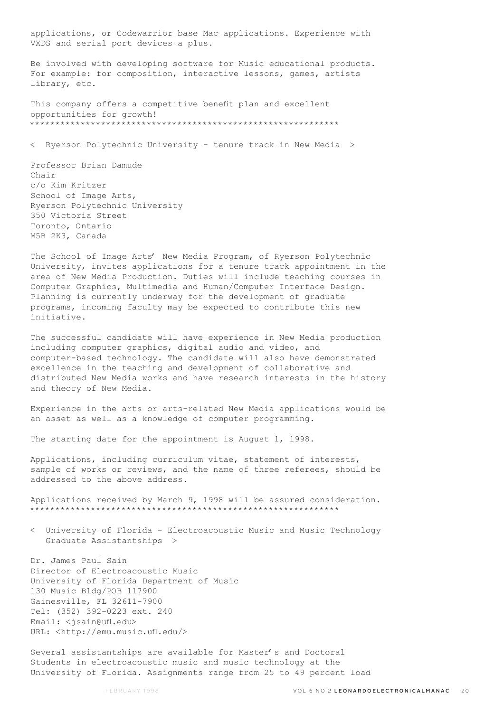applications, or Codewarrior base Mac applications. Experience with VXDS and serial port devices a plus.

Be involved with developing software for Music educational products. For example: for composition, interactive lessons, games, artists library, etc.

This company offers a competitive benefit plan and excellent opportunities for growth! \*\*\*\*\*\*\*\*\*\*\*\*\*\*\*\*\*\*\*\*\*\*\*\*\*\*\*\*\*\*\*\*\*\*\*\*\*\*\*\*\*\*\*\*\*\*\*\*\*\*\*\*\*\*\*\*\*\*\*\*\*

< Ryerson Polytechnic University - tenure track in New Media >

Professor Brian Damude Chair c/o Kim Kritzer School of Image Arts, Ryerson Polytechnic University 350 Victoria Street Toronto, Ontario M5B 2K3, Canada

The School of Image Arts' New Media Program, of Ryerson Polytechnic University, invites applications for a tenure track appointment in the area of New Media Production. Duties will include teaching courses in Computer Graphics, Multimedia and Human/Computer Interface Design. Planning is currently underway for the development of graduate programs, incoming faculty may be expected to contribute this new initiative.

The successful candidate will have experience in New Media production including computer graphics, digital audio and video, and computer-based technology. The candidate will also have demonstrated excellence in the teaching and development of collaborative and distributed New Media works and have research interests in the history and theory of New Media.

Experience in the arts or arts-related New Media applications would be an asset as well as a knowledge of computer programming.

The starting date for the appointment is August 1, 1998.

Applications, including curriculum vitae, statement of interests, sample of works or reviews, and the name of three referees, should be addressed to the above address.

Applications received by March 9, 1998 will be assured consideration. \*\*\*\*\*\*\*\*\*\*\*\*\*\*\*\*\*\*\*\*\*\*\*\*\*\*\*\*\*\*\*\*\*\*\*\*\*\*\*\*\*\*\*\*\*\*\*\*\*\*\*\*\*\*\*\*\*\*\*\*\*

< University of Florida - Electroacoustic Music and Music Technology Graduate Assistantships >

Dr. James Paul Sain Director of Electroacoustic Music University of Florida Department of Music 130 Music Bldg/POB 117900 Gainesville, FL 32611-7900 Tel: (352) 392-0223 ext. 240 Email: <jsain@ufl.edu> URL: <http://emu.music.ufl.edu/>

Several assistantships are available for Master's and Doctoral Students in electroacoustic music and music technology at the University of Florida. Assignments range from 25 to 49 percent load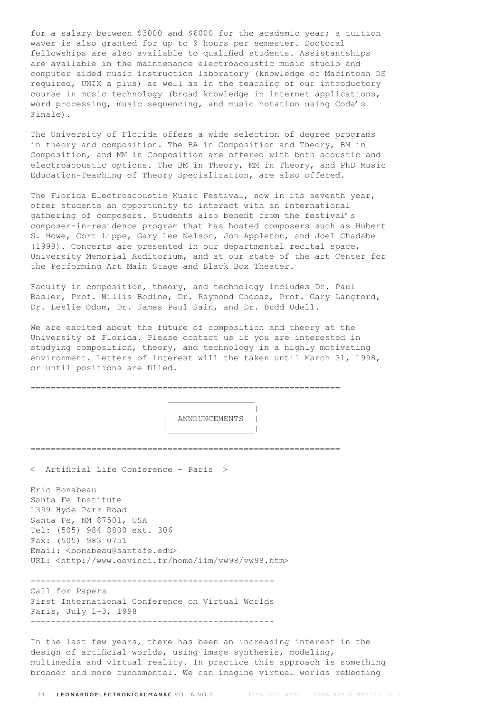for a salary between \$3000 and \$6000 for the academic year; a tuition waver is also granted for up to 9 hours per semester. Doctoral fellowships are also available to qualified students. Assistantships are available in the maintenance electroacoustic music studio and computer aided music instruction laboratory (knowledge of Macintosh OS required, UNIX a plus) as well as in the teaching of our introductory course in music technology (broad knowledge in internet applications, word processing, music sequencing, and music notation using Coda's Finale).

The University of Florida offers a wide selection of degree programs in theory and composition. The BA in Composition and Theory, BM in Composition, and MM in Composition are offered with both acoustic and electroacoustic options. The BM in Theory, MM in Theory, and PhD Music Education-Teaching of Theory Specialization, are also offered.

The Florida Electroacoustic Music Festival, now in its seventh year, offer students an opportunity to interact with an international gathering of composers. Students also benefit from the festival's composer-in-residence program that has hosted composers such as Hubert S. Howe, Cort Lippe, Gary Lee Nelson, Jon Appleton, and Joel Chadabe (1998). Concerts are presented in our departmental recital space, University Memorial Auditorium, and at our state of the art Center for the Performing Art Main Stage and Black Box Theater.

Faculty in composition, theory, and technology includes Dr. Paul Basler, Prof. Willis Bodine, Dr. Raymond Chobaz, Prof. Gary Langford, Dr. Leslie Odom, Dr. James Paul Sain, and Dr. Budd Udell.

We are excited about the future of composition and theory at the University of Florida. Please contact us if you are interested in studying composition, theory, and technology in a highly motivating environment. Letters of interest will the taken until March 31, 1998, or until positions are filled.

=============================================================

 $\mathcal{L}_\text{max}$  and  $\mathcal{L}_\text{max}$  and  $\mathcal{L}_\text{max}$  and  $\mathcal{L}_\text{max}$  | | | ANNOUNCEMENTS | |\_\_\_\_\_\_\_\_\_\_\_\_\_\_\_\_\_| ============================================================= < Artificial Life Conference - Paris > Eric Bonabeau Santa Fe Institute 1399 Hyde Park Road Santa Fe, NM 87501, USA Tel: (505) 984 8800 ext. 306 Fax: (505) 983 0751 Email: <br/> <br/>bonabeau@santafe.edu> URL: <http://www.devinci.fr/home/iim/vw98/vw98.htm> ------------------------------------------------ Call for Papers First International Conference on Virtual Worlds Paris, July 1-3, 1998 ------------------------------------------------ In the last few years, there has been an increasing interest in the design of artificial worlds, using image synthesis, modeling, multimedia and virtual reality. In practice this approach is something

broader and more fundamental. We can imagine virtual worlds reflecting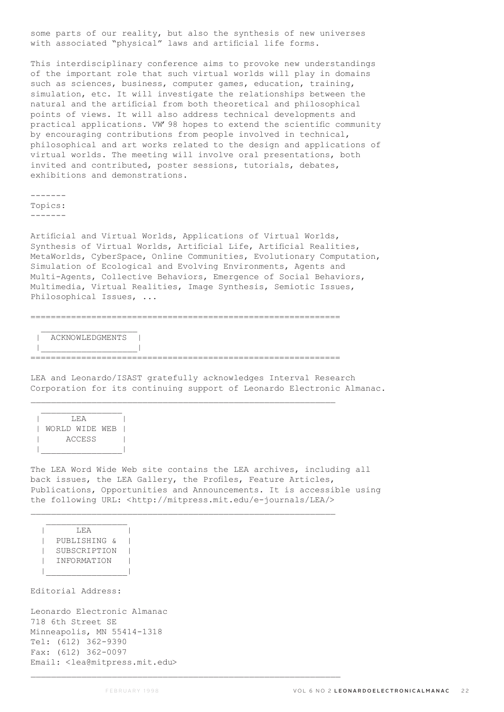some parts of our reality, but also the synthesis of new universes with associated "physical" laws and artificial life forms.

This interdisciplinary conference aims to provoke new understandings of the important role that such virtual worlds will play in domains such as sciences, business, computer games, education, training, simulation, etc. It will investigate the relationships between the natural and the artificial from both theoretical and philosophical points of views. It will also address technical developments and practical applications. VW'98 hopes to extend the scientific community by encouraging contributions from people involved in technical, philosophical and art works related to the design and applications of virtual worlds. The meeting will involve oral presentations, both invited and contributed, poster sessions, tutorials, debates, exhibitions and demonstrations.

------- Topics: -------

Artificial and Virtual Worlds, Applications of Virtual Worlds, Synthesis of Virtual Worlds, Artificial Life, Artificial Realities, MetaWorlds, CyberSpace, Online Communities, Evolutionary Computation, Simulation of Ecological and Evolving Environments, Agents and Multi-Agents, Collective Behaviors, Emergence of Social Behaviors, Multimedia, Virtual Realities, Image Synthesis, Semiotic Issues, Philosophical Issues, ...

 $\mathcal{L}_\text{max}$ | ACKNOWLEDGMENTS |

 |\_\_\_\_\_\_\_\_\_\_\_\_\_\_\_\_\_\_\_| =============================================================

 $\mathcal{L}_\text{max}$ 

=============================================================

LEA and Leonardo/ISAST gratefully acknowledges Interval Research Corporation for its continuing support of Leonardo Electronic Almanac.

| T.F.A          |  |  |  |  |
|----------------|--|--|--|--|
| WORLD WIDE WEB |  |  |  |  |
| <b>ACCESS</b>  |  |  |  |  |
|                |  |  |  |  |

The LEA Word Wide Web site contains the LEA archives, including all back issues, the LEA Gallery, the Profiles, Feature Articles, Publications, Opportunities and Announcements. It is accessible using the following URL: <http://mitpress.mit.edu/e-journals/LEA/>

 | LEA | | PUBLISHING & | | SUBSCRIPTION | | INFORMATION | |\_\_\_\_\_\_\_\_\_\_\_\_\_\_\_\_|

Editorial Address:

Leonardo Electronic Almanac 718 6th Street SE Minneapolis, MN 55414-1318 Tel: (612) 362-9390 Fax: (612) 362-0097 Email: <lea@mitpress.mit.edu>